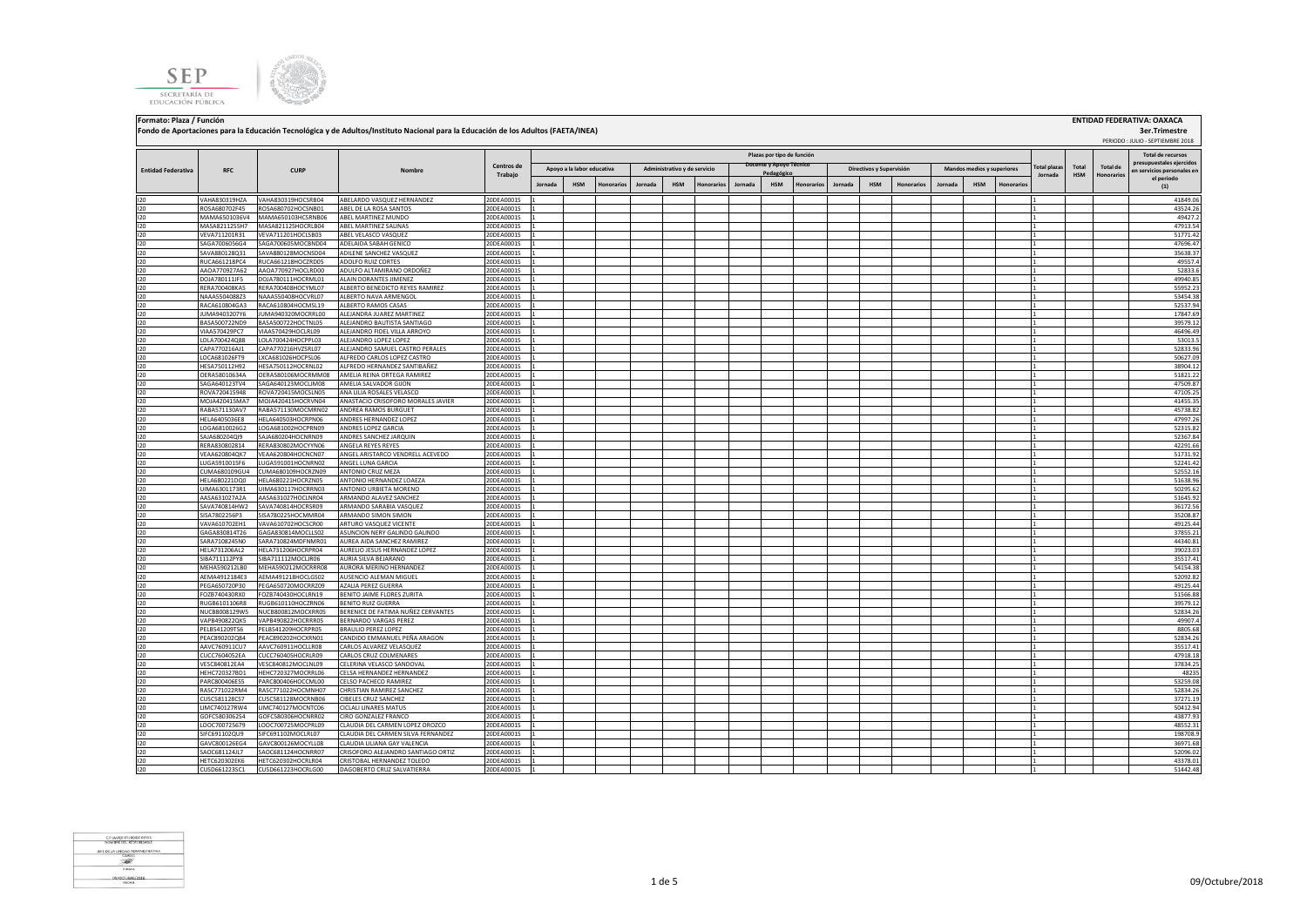**SEP** SECRETARÍA DE EDUCACIÓN PÚBLICA



 PERIODO : JULIO - SEPTIEMBRE 2018 **Jornada HSM Honorarios Jornada HSM Honorarios Jornada HSM Honorarios Jornada HSM Honorarios Jornada HSM Honorarios** I20 VAHA830319HZA VAHA830319HOCSRB04 ABELARDO VASQUEZ HERNANDEZ 20DEA0001S 1 1 41849.06 I20 ROSA680702F45 ROSA680702HOCSNB01 ABEL DE LA ROSA SANTOS 20DEA0001S 1 1 43524.26 I20 MAMA6501036V4 MAMA650103HCSRNB06 ABEL MARTINEZ MUNDO 20DEA0001S 1 1 49427.2 I20 MASA8211255H7 |MASA821125HOCRLB04 ABEL MARTINEZ SALINAS \_\_\_\_\_\_\_\_\_\_\_\_\_\_\_\_\_\_\_\_20DEA0001S \_1 |\_\_\_\_\_\_\_\_\_\_\_\_\_\_\_\_ I20 VEVA711201R31 VEVA711201HOCLSB03 ABEL VELASCO VASQUEZ 20DEA0001S 1 1 51771.42 I20 SAGA7006056G4 SAGA700605MOCBND04 ADELAIDA SABAH GENICO 20DEA0001S 1 2 4 200 ADDEA0001S 20 20DEA0001S 2 20DEA0001S 2 47696.47 I20 SAVA880128Q31 SAVA880128MOCNSD04 ADILENE SANCHEZ VASQUEZ 20DEA0001S 1 1 35638.37 I20 RUCA661218PC4 RUCA661218HOCZRD05 ADOLFO.RUIZ.CORTES 20DEA0001S 1 2 49557.4 20DEA0001S 20 20DEA0001S 1 2 49 I20 AAOA770927A62 AAOA770927HOCLRD00 ADULFO ALTAMIRANO ORDOÑEZ 20DEA0001S 1 1 52833.6 I20 DOJA780111JF5 DOJA780111HOCRML01 ALAIN DORANTES JIMENEZ 20DEA0001S 1 1 49940.85 I20 RERA700408KA5 RERA700408HOCYML07 ALBERTO BENEDICTO REYES RAMIREZ 20DEA0001S 1 2 3 20DEA0001S 1 3 35952.23 I20 NAAA5504088Z3 NAAA550408HOCVRL07 ALBERTO NAVA ARMENGOL 20DEA0001S 1 1 53454.38 I20 RACA610804GA3 RACA610804HOCMSL19 ALBERTO.RAMOSCASAS 20DEA0001S 1 20DEA0001S 1 20DEA0001S 20DEA0001S 20DEA I20 JUMA9403207Y6 JUMA940320MOCRRL00 ALEJANDRA JUAREZ MARTINEZ 20DEA0001S 1 1 17847.69 I20 BASA500722ND9 BASA500722HOCTNL05 ALEJANDRO BAUTISTA SANTIAGO 20DEA0001S 1 1 39579.12 I20 VIAA570429PC7 VIAA570429HOCLRL09 ALEJANDRO FIDEL VILLA ARROYO 20DEA0001S 1 1 46496.49 I20 LOLA700424Q88 LOLA700424HOCPPL03 ALEJANDRO LOPEZ LOPEZ 20DEA0001S 1 1 53013.5 I20 CAPA770216AJ1 CAPA770216HVZSRL07 ALEJANDRO SAMUEL CASTRO PERALES 20DEA0001S 1 1 52833.96 I20 LOCA681026FT9 LXCA681026HOCPSL06 ALFREDO CARLOS LOPEZ CASTRO 20DEA0001S 1 1 50627.09 I20 HESA750112H92 HESA750112HOCRNL02 ALFREDO HERNANDEZ SANTIBAÑEZ 20DEA0001S 1 1 38904.12 I20 OERA58010634A OERA580106MOCRMM08 AMELIA REINA ORTEGA RAMIREZ 20DEA0001S 1 1 51821.22 I20 SAGA640123TV4 SAGA640123MOCLJM08 AMELIA SALVADOR GIJON 20DEA0001S 1 1 47509.87 I20 ROVA720415948 ROVA720415948 ROVA720415MOCSLN05 |ANALILIAROSALES VELASCO 20DEA0001S |1 | | | | | | | | | | | I20 MOJA420415MA7 MOJA420415HOCRVN04 ANASTACIO CRISOFORO MORALES JAVIER 20DEA0001S 1 1 41455.35 I20 RABA571130AV7 RABA571130MOCMRN02 ANDREA RAMOS BURGUET 20DEA0001S 1 1 45738.82 I20 HELA6405036E8 HELA640503HOCRPN06 ANDRES HERNANDEZ LOPEZ 20DEA0001S 1 1 47997.26 I20 LOGA6810026G2 LOGA681002HOCPRN09 ANDRES LOPEZ GARCIA 20DEA0001S 1 1 52315.82 I20 SAJA680204QI9 SAJA680204HOCNRN09 ANDRES SANCHEZ JARQUIN 20DEA0001S 1 1 52367.84 IERA830802814 RERA83080240CYYNOG ANGELAREYES REYES 200EA00001S 1<br>UEAA6208020214 REAA620802400CYWNO7 ANGELA BINTARFO VENDELI AFEVED 200EA00001S 1 1 1 1 42291.66 1 1 1 42291.67 I20 VEAA620804QK7 VEAA620804HOCNCN07 ANGEL ARISTARCO VENDRELL ACEVEDO 20DEA0001S 1 1 51731.92 I20 LUGA5910015F6 LUGA591001HOCNRN02 ANGEL LUNA GARCIA 20DEA0001S 1 1 52241.42 I20 CUMA680109GU4 CUMA680109HOCRZN09 ANTONIO CRUZ MEZA 20DEA0001S 1 1 52552.16 I20 HELA680221DQ0 HELA680221HOCRZN05 ANTONIO HERNANDEZ LOAEZA 20DEA0001S 1 1 51638.96 I20 UIMA6301173R1 UIMA630117HOCRRN03 ANTONIO URBIETA MORENO 20DEA0001S 1 1 50295.62 I20 AASA631027A2A AASA631027HOCLNR04 ARMANDO ALAVEZ SANCHEZ 20DEA0001S 1 1 51645.92 I20 SAVA740814HW2 SAVA740814HOCRSR09 ARMANDO SARABIA VASQUEZ 20DEA0001S 1 1 36172.56 I20 SISA7802256P3 SISA780225HOCMMR04 ARMANDO SIMON SIMON 20DEA0001S 1 1 35208.87 I20 VAVA610702EH1 VAVA610702HOCSCR00 ARTURO VASQUEZ VICENTE 20DEA0001S 1 1 49125.44 I20 GAGA830814T26 GAGA830814MOCLLS02 ASUNCION NERY GALINDO GALINDO 20DEA0001S 1 1 37855.21 I20 SARA7108245N0 SARA710824MDFNMR01 AUREA AIDA SANCHEZ RAMIREZ 20DEA0001S 1 1 44340.81 I20 HELA731206AL2 HELA731206HOCRPR04 AURELIO JESUS HERNANDEZ LOPEZ 20DEA0001S 1 1 39023.03 I20 SIBA711112PY8 SIBA711112MOCLJR06 AURIA SILVA BEJARANO 20DEA0001S 1 1 35517.41 NEHA590212LB0 MEHA590212MOCRRR08 AURORA MERINO HERNANDEZ 20DEA0001S 1<br>AEMA4912184E3 AEMA491218HOCLGS02 AUSENCIO ALEMAN MIGUEL 20DEA0001S 1 2000 2002 2000 1 52091.82 I20 AEMA4912184E3 AEMA491218HOCLGS02 AUSENCIO ALEMAN MIGUEL 20DEA0001S 1 1 52092.82 I20 PEGA650720P30 PEGA650720MOCRRZ09 AZALIA PEREZ GUERRA 20DEA0001S 1 1 49125.44 I20 FOZB740430RX0 FOZB740430HOCLRN19 BENITO JAIME FLORES ZURITA 20DEA0001S 1 1 51566.88 I20 RUGB6101106R8 RUGB610110HOCZRN06 BENITORUIZGUERRA 20DEA0001S 1 20DEA0001S 1 20DEA0001S 20DEA0001S 20DEA000 I20 NUCB8008129W5 NUCB800812MOCXRR05 BERENICE DE FATIMA NUÑEZ CERVANTES 20DEA0001S 1 1 52834.26 I20 VAPB490822QK5 VAPB490822HOCRRR05 BERNARDO VARGAS PEREZ 20DEA0001S 1 1 49907.4 I20 PELB541209TS6 PELB541209HOCRPR05 BRAULIO PEREZ LOPEZ 20DEA0001S 1 1 8805.68 I20 PEAC890202Q84 PEAC890202HOCXRN01 CANDIDO\_EMMANUEL PEÑA ARAGON 20DEA0001S 1 2 3 200 52834.26 FEAR ARAGON 20D I20 AAVC760911CU7 AAVC760911HOCLLR08 CARLOS ALVAREZ VELASQUEZ 20DEA0001S 1 1 35517.41 I20 CUCC7604052EA CUCC760405HOCRLR09 CARLOS CRUZ COLMENARES 20DEA0001S 1 1 47918.18 I20 VESC840812EA4 VESC840812MOCLNL09 CELERINA VELASCO SANDOVAL 20DEA0001S 1 1 37834.25 I20 HEHC720327BD1 HEHC720327MOCRRL06 CELSA HERNANDEZ HERNANDEZ 20DEA0001S 1 1 48235 I20 PARC800406ES5 PARC800406HOCCML00 CELSO PACHECO RAMIREZ 20DEA0001S 1 1 53259.08 I20 RASC771022RM4 RASC771022HOCMNH07 CHRISTIAN RAMIREZ SANCHEZ 20DEA0001S 1 1 52834.26 I20 CUSC581128CS7 CUSC581128MOCRNB06 CIBELES CRUZ SANCHEZ 20DEA0001S 1 1 37271.19 I20 LIMC740127RW4 LIMC740127MOCNTC06 CICLALI LINARES MATUS 20DEA0001S 1 1 50412.94 I20 GOFC5803062S4 GOFC580306HOCNRR02 CIRO GONZALEZ FRANCO 20DEA0001S 1 1 43877.93 I20 LOOC700725679 LOOC700725MOCPRL09 CLAUDIA DEL CARMEN LOPEZ OROZCO 20DEA0001S 1 1 48552.31 **Total plazas Jornada Total HSM Total de Honorarios Total de recursos prestales ejercidos en servicios personales en el periodo (1) Fondo de Aportaciones para la Educación Tecnológica y de Adultos/Instituto Nacional para la Educación de los Adultos (FAETA/INEA) Entidad Federativa RFC CURP Nombre Centros de Trabajo Plazas por tipo de función Apoyo a la labor educativa Administrativo y de servicio Pedagógicos y Supervisión Mandos medios y superiores** 

**Formato: Plaza / Función ENTIDAD FEDERATIVA: OAXACA**



 **3er.Trimestre**

I20 SIFC691102QU9 SIFC691102MOCLRL07 CLAUDIA DEL CARMEN SILVA FERNANDEZ 20DEA0001S 1 1 198708.9 I20 GAVC800126EG4 GAVC800126MOCYLL08 CLAUDIA LILIANA GAY VALENCIA 20DEA0001S 1 1 36971.68 I20 SAOC681124JL7 SAOC681124HOCNRR07 CRISOFORO ALEJANDRO SANTIAGO ORTIZ 20DEA0001S 1 1 52096.02 I20 HETC620302EK6 HETC620302HOCRLR04 CRISTOBAL HERNANDEZ TOLEDO 20DEA0001S 1 1 43378.01 I20 CUSD661223SC1 CUSD661223HOCRLG00 DAGOBERTO CRUZ SALVATIERRA 20DEA0001S 1 1 51442.48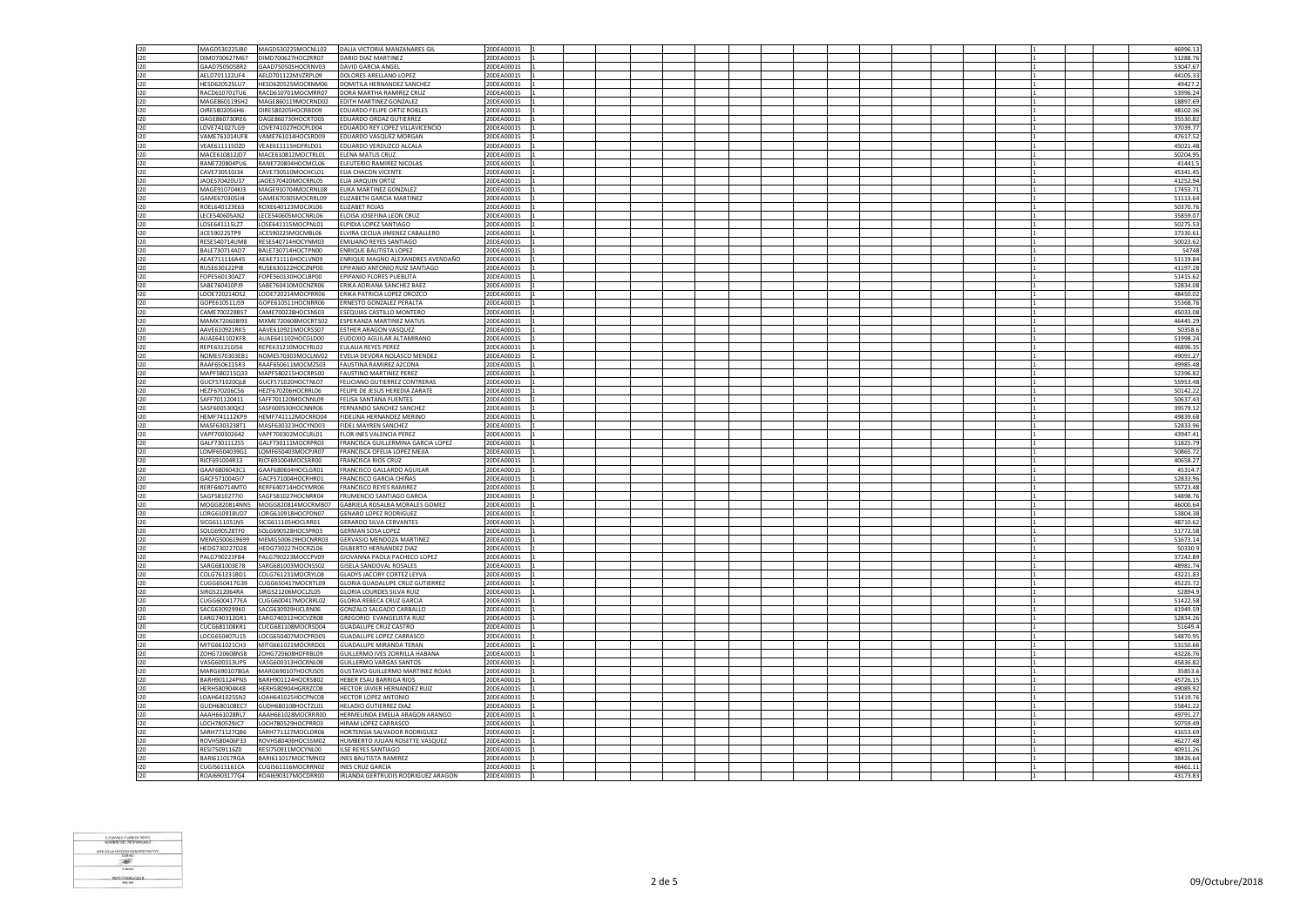| 120        | MAGD530225JB0                       | MAGD530225MOCNLL02                       | DALIA VICTORIA MANZANARES GIL                                 | 20DEA0001S               |  |  |  |  |  |  |  | 46996.13             |
|------------|-------------------------------------|------------------------------------------|---------------------------------------------------------------|--------------------------|--|--|--|--|--|--|--|----------------------|
| 120        | DIMD700627M67                       | DIMD700627HOCZRR07                       | DARIO DIAZ MARTINEZ                                           | 20DEA0001S               |  |  |  |  |  |  |  | 51288.76             |
| 120        | GAAD7505058R2                       | GAAD750505HOCRNV03                       | DAVID GARCIA ANGEL                                            | 20DEA0001S               |  |  |  |  |  |  |  | 53047.67             |
|            |                                     |                                          |                                                               |                          |  |  |  |  |  |  |  |                      |
| 120        | AELD701122UF4                       | AELD701122MVZRPL09                       | DOLORES ARELLANO LOPE2                                        | 20DEA0001S               |  |  |  |  |  |  |  | 44105.3              |
| 120        | HESD620525LU7                       | HESD620525MOCRNM06                       | DOMITILA HERNANDEZ SANCHEZ                                    | 20DEA0001S               |  |  |  |  |  |  |  | 49427.               |
| 120        | RACD610701TU6                       | RACD610701MOCMRR07                       | DORA MARTHA RAMIREZ CRUZ                                      | 20DEA0001S               |  |  |  |  |  |  |  | 53996.24             |
| 120        | MAGE860119SH2                       | MAGE860119MOCRND02                       | <b>FDITH MARTINEZ GONZALEZ</b>                                | 20DEA0001S               |  |  |  |  |  |  |  | 18897.69             |
| 120        | OIRE5802056H6                       | OIRE580205HOCRBD09                       | EDUARDO FELIPE ORTIZ ROBLES                                   | 20DEA0001S               |  |  |  |  |  |  |  | 48102.3              |
| 120        | OAGE860730RE6                       | OAGE860730HOCRTD05                       | EDUARDO ORDAZ GUTIERREZ                                       | 20DEA0001S               |  |  |  |  |  |  |  | 35530.82             |
| 120        | LOVE741027LG9                       | LOVE741027HOCPLD04                       | EDUARDO REY LOPEZ VILLAVICENCIO                               | 20DEA0001S               |  |  |  |  |  |  |  | 37039.77             |
| 120        | VAME761014UF8                       | VAME761014HOCSRD09                       | EDUARDO VASQUEZ MORGAN                                        | 20DEA0001S               |  |  |  |  |  |  |  | 47617.52             |
| 120        | VEAF611115D70                       | VEAE611115HDFRLD01                       | DUARDO VERDUZCO ALCALA                                        | 20DEA0001S               |  |  |  |  |  |  |  | 45021.48             |
|            | MACE610812JD7                       |                                          | ELENA MATUS CRUZ                                              | 20DEA0001S               |  |  |  |  |  |  |  | 50204.9              |
| 120        |                                     | MACE610812MOCTRL01                       |                                                               |                          |  |  |  |  |  |  |  |                      |
| 120        | RANE720804PU6                       | RANE720804HOCMCL06                       | ELEUTERIO RAMIREZ NICOLAS                                     | 20DEA0001S               |  |  |  |  |  |  |  | 41441.               |
| 120        | CAVE730510J34                       | CAVE730510MOCHCL01                       | ELIA CHACON VICENTE                                           | 20DEA0001S               |  |  |  |  |  |  |  | 45341.49             |
| 120        | JAOE570420U37                       | JAOE570420MOCRRL05                       | ELIA JARQUIN ORTIZ                                            | 20DEA0001S               |  |  |  |  |  |  |  | 41252.94             |
| 120        | MAGE910704KI3                       | MAGE910704MOCRNL08                       | ELIKA MARTINEZ GONZALEZ                                       | 20DEA0001S               |  |  |  |  |  |  |  | 17453.71             |
| 120        | GAME670305JJ4                       | GAME670305MOCRRL09                       | ELIZABETH GARCIA MARTINEZ                                     | 20DEA0001S               |  |  |  |  |  |  |  | 51113.6              |
| 120        | ROEL640123E63                       | ROXE640123MOCJXL06                       | ELIZABET ROJAS                                                | 20DEA0001S               |  |  |  |  |  |  |  | 50370.76             |
| 120        | LECE540605AN2                       | LECE540605MOCNRL06                       | ELOISA JOSEFINA LEON CRUZ                                     | 20DEA0001S               |  |  |  |  |  |  |  | 35859.07             |
|            |                                     |                                          |                                                               |                          |  |  |  |  |  |  |  |                      |
| 120        | LOSE641115LZ7                       | LOSE641115MOCPNL01                       | LPIDIA LOPEZ SANTIAGO                                         | 20DEA0001S               |  |  |  |  |  |  |  | 50275.53             |
| 120        | JICE590225TP9                       | JICE590225MOCMBL06                       | ELVIRA CECILIA JIMENEZ CABALLERO                              | 20DEA0001S               |  |  |  |  |  |  |  | 37330.61             |
| 120        | <b>RESES40714UM8</b>                | RESE540714HOCYNM03                       | <b>EMILIANO REYES SANTIAGO</b>                                | 20DEA0001S               |  |  |  |  |  |  |  | 50023.63             |
| 120        | BALE730714AD7                       | BALE730714HOCTPN00                       | ENRIQUE BAUTISTA LOPEZ                                        | 20DEA0001S               |  |  |  |  |  |  |  | 54748                |
| 120        | AEAE711116A45                       | AEAE711116HOCLVN09                       | ENRIQUE MAGNO ALEXANDRES AVENDAÑO                             | 20DEA0001S               |  |  |  |  |  |  |  | 51119.84             |
| 120        | RUSE630122PI8                       | RUSE630122HOCZNP00                       | PIFANIO ANTONIO RUIZ SANTIAGO                                 | 20DEA0001S               |  |  |  |  |  |  |  | 41197.28             |
| 120        | FOPE560130AZ7                       | FOPE560130HOCLBP00                       | EPIFANIO FLORES PUEBLITA                                      | 20DEA0001S               |  |  |  |  |  |  |  | 51415.6              |
|            |                                     |                                          |                                                               |                          |  |  |  |  |  |  |  |                      |
| 120        | SABE760410PJ9                       | SABE760410MOCNZR06                       | ERIKA ADRIANA SANCHEZ BAEZ                                    | 20DEA0001S               |  |  |  |  |  |  |  | 52834.08             |
| 120        | LOOE720214DS2                       | LOOE720214MOCPRR06                       | ERIKA PATRICIA LOPEZ OROZCO                                   | 20DEA0001S               |  |  |  |  |  |  |  | 48450.02             |
| 120        | GOPE610511J59                       | GOPE610511HOCNRR06                       | RNESTO GONZALEZ PERALTA                                       | 20DEA0001S               |  |  |  |  |  |  |  | 55368.76             |
| 120        | CAME700228B57                       | CAME700228HOCSNS03                       | ESEQUIAS CASTILLO MONTERO                                     | 20DEA0001S               |  |  |  |  |  |  |  | 45033.08             |
| 120        | MAMX720608I93                       | MXME720608MOCRTS02                       | ESPERANZA MARTINEZ MATUS                                      | 20DEA0001S               |  |  |  |  |  |  |  | 46445.29             |
| 120        | AAVE610921RK5                       | AAVE610921MOCRSS07                       | ESTHER ARAGON VASQUEZ                                         | 20DEA0001S               |  |  |  |  |  |  |  | 50358.6              |
|            |                                     |                                          |                                                               |                          |  |  |  |  |  |  |  |                      |
| 120        | AUAE641102KF8                       | AUAE641102HOCGLD00                       | EUDOXIO AGUILAR ALTAMIRANO                                    | 20DEA0001S               |  |  |  |  |  |  |  | 51998.24             |
| 120        | REPE631210J56                       | REPE631210MOCYRL02                       | ULALIA REYES PEREZ                                            | 20DEA0001S               |  |  |  |  |  |  |  | 46896.35             |
| 120        | NOME570303EB1                       | NOME570303MOCLNV02                       | EVELIA DEVORA NOLASCO MENDEZ                                  | 20DEA0001S               |  |  |  |  |  |  |  | 49091.2              |
| 120        | RAAF6506115R3                       | RAAF650611MOCMZS03                       | <b>FAUSTINA RAMIREZ AZCONA</b>                                | 20DEA0001S               |  |  |  |  |  |  |  | 49985.48             |
| 120        | MAPF580215Q33                       | MAPF580215HOCRRS00                       | <b>FAUSTINO MARTINEZ PEREZ</b>                                | 20DEA0001S               |  |  |  |  |  |  |  | 52396.82             |
| 120        | GUCF571020QL8                       | GUCF571020HOCTNL07                       | FELICIANO GUTIERREZ CONTRERAS                                 | 20DEA0001S               |  |  |  |  |  |  |  | 55953.48             |
| 120        | HEZF670206C56                       | HEZF670206HOCRRL06                       | FELIPE DE JESUS HEREDIA ZARATE                                | 20DEA0001S               |  |  |  |  |  |  |  | 50142.2              |
| 120        | SAFF701120411                       |                                          | FFLISA SANTANA FUENTES                                        | 20DEA0001S               |  |  |  |  |  |  |  | 50637.4              |
|            |                                     | SAFF701120MOCNNL09                       |                                                               |                          |  |  |  |  |  |  |  |                      |
| 120        | SASF600530QK2                       | SASF600530HOCNNR06                       | FERNANDO SANCHEZ SANCHEZ                                      | 20DEA0001S               |  |  |  |  |  |  |  | 39579.12             |
| 120        | HEMF741112KP9                       | HEMF741112MOCRRD04                       | FIDELINA HERNANDEZ MERINO                                     | 20DEA0001S               |  |  |  |  |  |  |  | 49839.68             |
| 120        | MASF6303238T1                       | MASF630323HOCYND03                       | <b>IDEL MAYREN SANCHEZ</b>                                    | 20DEA0001S               |  |  |  |  |  |  |  | 52833.96             |
| 120        | VAPF700302642                       | VAPF700302MOCLRL01                       | FLOR INES VALENCIA PEREZ                                      | 20DEA0001S               |  |  |  |  |  |  |  | 43947.43             |
| 120        | GALF7301112S5                       | GALF730111MOCRPR03                       | FRANCISCA GUILLERMINA GARCIA LOPEZ                            | 20DEA0001S               |  |  |  |  |  |  |  | 51825.79             |
| 120        | LOMF6504039G1                       | LOMF650403MOCPJR07                       | FRANCISCA OFELIA LOPEZ MEJIA                                  | 20DEA0001S               |  |  |  |  |  |  |  | 50865.72             |
|            |                                     |                                          |                                                               |                          |  |  |  |  |  |  |  |                      |
| 120        | RICF691004R13                       | RICF691004MOCSRR00                       | RANCISCA RIOS CRUZ                                            | 20DEA0001S               |  |  |  |  |  |  |  | 40658.27             |
| 120        | GAAF6806043C1                       | GAAF680604HOCLGR01                       | FRANCISCO GALLARDO AGUILAR                                    | 20DEA0001S               |  |  |  |  |  |  |  | 45314.               |
| 120        | GACE571004GI7                       | GACF571004HOCRHR01                       | FRANCISCO GARCIA CHIÑAS                                       | 20DEA0001S               |  |  |  |  |  |  |  | 52833.96             |
| 120        | RERF640714MT0                       | RERF640714HOCYMR06                       | FRANCISCO REYES RAMIREZ                                       | 20DEA0001S               |  |  |  |  |  |  |  | 55723.48             |
| 120        | SAGF5810277I0                       | SAGF581027HOCNRR04                       | FRUMENCIO SANTIAGO GARCIA                                     | 20DEA0001S               |  |  |  |  |  |  |  | 54898.76             |
| 120        | MOGG820814NN5                       | MOGG820814MOCRMB07                       | GABRIELA ROSALBA MORALES GOMEZ                                | 20DEA0001S               |  |  |  |  |  |  |  | 46000.64             |
| 120        | LORG610918UD7                       | LORG610918HOCPDN07                       | <b>GENARO LOPEZ RODRIGUEZ</b>                                 | 20DEA0001S               |  |  |  |  |  |  |  | 53804.3              |
|            |                                     |                                          |                                                               |                          |  |  |  |  |  |  |  |                      |
| 120        | SICG6111051N5                       | SICG611105HOCLRR01                       | <b>GERARDO SILVA CERVANTES</b>                                | 20DEA0001S               |  |  |  |  |  |  |  | 48710.62             |
| 120        | SOLG690528TF0                       | SOLG690528HOCSPR03                       | <b>GERMAN SOSA LOPEZ</b>                                      | 20DEA0001S               |  |  |  |  |  |  |  | 51772.58             |
| 120        | MEMG500619699                       | MEMG500619HOCNRR03                       | GERVASIO MENDOZA MARTINEZ                                     | 20DEA0001S               |  |  |  |  |  |  |  | 51673.14             |
| 120        | HEDG730227D28                       | HEDG730227HOCRZL06                       | GILBERTO HERNANDEZ DIAZ                                       | 20DEA0001S               |  |  |  |  |  |  |  | 50330.9              |
| 120        | PALG790223FB4                       | PALG790223MOCCPV09                       | GIOVANNA PAOLA PACHECO LOPEZ                                  | 20DEA0001S               |  |  |  |  |  |  |  | 37242.89             |
| 120        | SARG681003E78                       | SARG681003MOCNSS02                       | <b>GISELA SANDOVAL ROSALES</b>                                | 20DEA0001S               |  |  |  |  |  |  |  | 48981.74             |
| 120        | COLG761231BD1                       | COLG761231MOCRYL08                       | GLADYS JACCIRY CORTEZ LEYVA                                   | 20DEA0001S               |  |  |  |  |  |  |  | 43221.83             |
| 120        | CUGG650417G39                       | CUGG650417MOCRTL09                       | GLORIA GUADALUPE CRUZ GUTIERREZ                               | 20DEA0001S               |  |  |  |  |  |  |  | 45225.72             |
|            |                                     |                                          |                                                               |                          |  |  |  |  |  |  |  |                      |
| 120        | SIRG5212064RA                       | SIRG521206MOCLZL05                       | GLORIA LOURDES SILVA RUIZ                                     | 20DEA0001S               |  |  |  |  |  |  |  | 52894.               |
| 120        | CUGG6004177EA                       | CUGG600417MOCRRL02                       | <b>GLORIA REBECA CRUZ GARCIA</b>                              | 20DEA0001S               |  |  |  |  |  |  |  | 51422.58             |
| 120        | SACG6309299K0                       | SACG630929HJCLRN06                       | GONZALO SALGADO CARBALLO                                      | 20DEA0001S               |  |  |  |  |  |  |  | 41949.59             |
| 120        | EARG740312GR1                       | EARG740312HOCVZR08                       | <b>GREGORIO EVANGELISTA RUIZ</b>                              | 20DEA0001S               |  |  |  |  |  |  |  | 52834.26             |
| 120        | CUCG681108KR1                       | CUCG681108MOCRSD04                       | <b>GUADALUPE CRUZ CASTRO</b>                                  | 20DEA0001S               |  |  |  |  |  |  |  | 51649.               |
| 120        | LOCG650407U15                       | LOCG650407MOCPRD05                       | <b>GUADALUPE LOPEZ CARRASCO</b>                               | 20DEA0001S               |  |  |  |  |  |  |  | 54870.9              |
| 120        | MITG661021CH3                       | MITG661021MOCRRD01                       | <b>GUADALUPE MIRANDA TERAN</b>                                | 20DEA0001S               |  |  |  |  |  |  |  | 53150.66             |
|            |                                     |                                          |                                                               |                          |  |  |  |  |  |  |  |                      |
| 120        | ZOHG720608NS8                       | ZOHG720608HDFRBL09                       | GUILLERMO IVES ZORRILLA HABANA                                | 20DEA0001S               |  |  |  |  |  |  |  | 43226.7              |
| 120        | VASG600313UP5                       | VASG600313HOCRNL08                       | <b>GUILLERMO VARGAS SANTOS</b>                                | 20DEA0001S               |  |  |  |  |  |  |  | 45836.82             |
| 120        | MARG6901078GA                       | MARG690107HOCRJS05                       | GUSTAVO GUILLERMO MARTINEZ ROJAS                              | 20DEA0001S               |  |  |  |  |  |  |  | 35853.               |
| 120        | BARH901124PN5                       | BARH901124HOCRSB02                       | HEBER ESAU BARRIGA RIOS                                       | 20DEA0001S               |  |  |  |  |  |  |  | 45726.15             |
| 120        |                                     | HERH580904HGRRZC08                       | HECTOR JAVIER HERNANDEZ RUIZ                                  | 20DEA0001S               |  |  |  |  |  |  |  | 49089.92             |
|            | HERH580904K48                       |                                          |                                                               | 20DEA0001S               |  |  |  |  |  |  |  | 51419.76             |
| 120        | LOAH641025SN2<br>LOAH641025HOCPNC08 |                                          | HECTOR LOPEZ ANTONIO                                          |                          |  |  |  |  |  |  |  |                      |
|            |                                     |                                          |                                                               |                          |  |  |  |  |  |  |  |                      |
| 120        | GUDH680108EC7                       | GUDH680108HOCTZL01                       | HELADIO GUTIERREZ DIAZ                                        | 20DEA0001S               |  |  |  |  |  |  |  | 55841.22             |
| 120        | AAAH661028RL7                       | AAAH661028MOCRRR00                       | HERMELINDA EMELIA ARAGON ARANGO                               | 20DEA0001S               |  |  |  |  |  |  |  | 49791.2              |
| 120        | LOCH780529JC7                       | LOCH780529HOCPRR03                       | HIRAM LOPEZ CARRASCO                                          | 20DEA0001S               |  |  |  |  |  |  |  | 50759.49             |
| 120        | SARH771127QB6                       | SARH771127MOCLDR06                       | HORTENSIA SALVADOR RODRIGUEZ                                  | 20DEA0001S               |  |  |  |  |  |  |  | 41653.69             |
| 120        | ROVH580406P33                       | ROVH580406HOCSSM02                       | HUMBERTO JULIAN ROSETTE VASQUEZ                               | 20DEA0001S               |  |  |  |  |  |  |  | 46277.48             |
| 120        | RESI7509116Z0                       | RESI750911MOCYNL00                       | <b>ILSE REYES SANTIAGO</b>                                    | 20DEA0001S               |  |  |  |  |  |  |  | 40911.26             |
|            | <b>BARI611017RGA</b>                |                                          | <b>INES BAUTISTA RAMIREZ</b>                                  | 20DEA0001S               |  |  |  |  |  |  |  | 38426.64             |
| 120        |                                     | BARI611017MOCTMN02                       |                                                               |                          |  |  |  |  |  |  |  |                      |
| 120<br>120 | CUGI5611161CA<br>ROAI6903177G4      | CUGI561116MOCRRN02<br>ROAI690317MOCDRR00 | <b>INES CRUZ GARCIA</b><br>IRLANDA GERTRUDIS RODRIGUEZ ARAGON | 20DEA0001S<br>20DEA0001S |  |  |  |  |  |  |  | 46461.11<br>43173.83 |

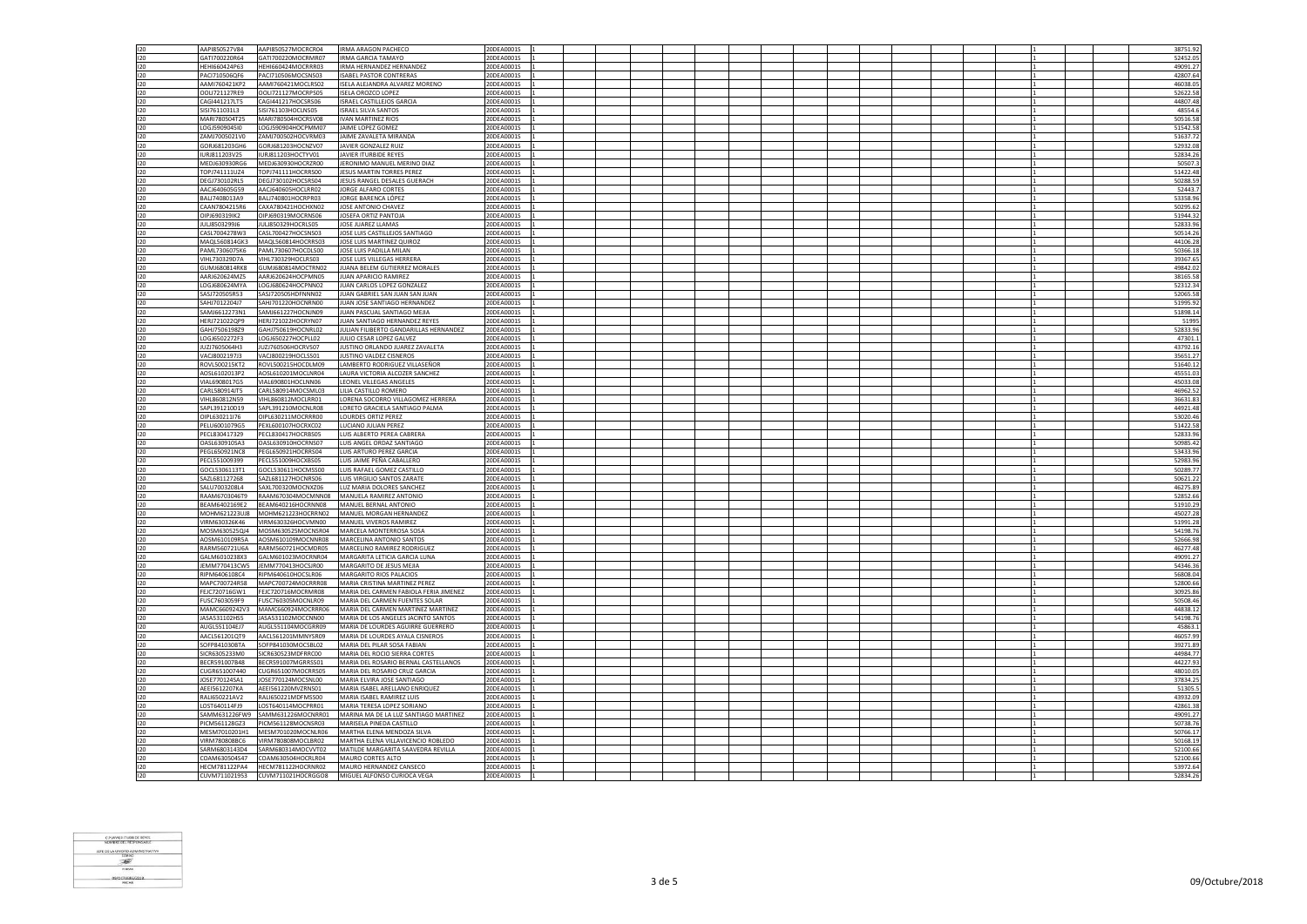| 120        | AAPI850527V84                  | AAPI850527MOCRCR04                                     | IRMA ARAGON PACHECO                                                       | 20DEA0001S               |  |  |  |  |  |  |  | 38751.92             |
|------------|--------------------------------|--------------------------------------------------------|---------------------------------------------------------------------------|--------------------------|--|--|--|--|--|--|--|----------------------|
| 120        | GATI700220R64                  | GATI700220MOCRMR07                                     | <b>IRMA GARCIA TAMAYO</b>                                                 | 20DEA0001S               |  |  |  |  |  |  |  | 52452.05             |
| 120        | HEHI660424P63                  | HEHI660424MOCRRR03                                     | <b>IRMA HERNANDEZ HERNANDEZ</b>                                           | 20DEA0001S               |  |  |  |  |  |  |  | 49091.27             |
|            |                                |                                                        |                                                                           |                          |  |  |  |  |  |  |  |                      |
| 120        | PAC1710506QF6                  | PACI710506MOCSNS03                                     | <b>ISABEL PASTOR CONTRERAS</b>                                            | 20DEA0001S               |  |  |  |  |  |  |  | 42807.64             |
| 120        | AAMI760421KP2                  | AAMI760421MOCLRS02                                     | ISELA ALEJANDRA ALVAREZ MORENO                                            | 20DEA0001S               |  |  |  |  |  |  |  | 46038.05             |
| 120        | OOLI721127RE9                  | OOLI721127MOCRPS05                                     | <b>ISELA OROZCO LOPEZ</b>                                                 | 20DEA0001S               |  |  |  |  |  |  |  | 52622.58             |
| $120 -$    | CAG14412171T5                  | CAGI441217HOCSRS06                                     | ISRAEL CASTILLE IOS GARCIA                                                | 20DEA0001S               |  |  |  |  |  |  |  | 44807.48             |
| 120        | SISI7611031L3                  | SISI761103HOCLNS05                                     | <b>ISRAEL SILVA SANTOS</b>                                                | 20DEA0001S               |  |  |  |  |  |  |  | 48554.               |
| 120        | MARI780504T25                  | MARI780504HOCRSV08                                     | IVAN MARTINEZ RIOS                                                        | 20DEA0001S               |  |  |  |  |  |  |  | 50516.58             |
| 120        | LOGJ5909045I0                  | LOGJ590904HOCPMM07                                     | JAIME LOPEZ GOMEZ                                                         | 20DEA0001S               |  |  |  |  |  |  |  | 51542.58             |
| 120        | ZAMJ7005021V0                  | ZAMJ700502HOCVRM03                                     | JAIME ZAVALETA MIRANDA                                                    | 20DEA0001S               |  |  |  |  |  |  |  |                      |
|            |                                |                                                        |                                                                           |                          |  |  |  |  |  |  |  | 51637.72             |
| $120 -$    | GORI681203GH6                  | GORJ681203HOCNZV07                                     | <b>IAVIER GONZALEZ RUIZ</b>                                               | 20DEA0001S               |  |  |  |  |  |  |  | 52932.08             |
| 120        | IURJ811203V25                  | IURJ811203HOCTYV01                                     | JAVIER ITURBIDE REYES                                                     | 20DEA0001S               |  |  |  |  |  |  |  | 52834.2              |
| 120        | MEDJ630930RG6                  | MEDJ630930HOCRZR00                                     | JERONIMO MANUEL MERINO DIAZ                                               | 20DEA0001S               |  |  |  |  |  |  |  | 50507.3              |
| 120        | TOPJ741111UZ4                  | TOPJ741111HOCRRS00                                     | JESUS MARTIN TORRES PEREZ                                                 | 20DEA0001S               |  |  |  |  |  |  |  | 51422.48             |
| 120        | DEGJ730102RL5                  | DEGJ730102HOCSRS04                                     | JESUS RANGEL DESALES GUERACH                                              | 20DEA0001S               |  |  |  |  |  |  |  | 50288.59             |
| 120        | AACJ640605G59                  | AACJ640605HOCLRR02                                     | JORGE ALFARO CORTES                                                       | 20DEA0001S               |  |  |  |  |  |  |  | 52443.7              |
| 120        | BALJ7408013A9                  | BALJ740801HOCRPR03                                     | JORGE BARENCA LÓPEZ                                                       | 20DEA0001S               |  |  |  |  |  |  |  | 53358.96             |
| 120        | CAAN7804215R6                  | CAXA780421HOCHXN02                                     | JOSE ANTONIO CHAVEZ                                                       | 20DEA0001S               |  |  |  |  |  |  |  | 50295.62             |
| 120        |                                | OIPJ690319MOCRNS06                                     | JOSEFA ORTIZ PANTOJA                                                      |                          |  |  |  |  |  |  |  | 51944.32             |
|            | OIPJ690319IK2                  |                                                        |                                                                           | 20DEA0001S               |  |  |  |  |  |  |  |                      |
| 120        | JULJ8503299J6                  | JULJ850329HOCRLS05                                     | JOSE JUAREZ LLAMAS                                                        | 20DEA0001S               |  |  |  |  |  |  |  | 52833.96             |
| 120        | CASL7004278W3                  | CASL700427HOCSNS03                                     | JOSE LUIS CASTILLEJOS SANTIAGO                                            | 20DEA0001S               |  |  |  |  |  |  |  | 50514.26             |
| $120 -$    | MAOI 560814GK3                 | MAQL560814HOCRRS03                                     | <b>IOSE LUIS MARTINEZ QUIROZ</b>                                          | 20DEA0001S               |  |  |  |  |  |  |  | 44106.28             |
| 120        | PAML7306075K6                  | PAML730607HOCDLS00                                     | JOSE LUIS PADILLA MILAN                                                   | 20DEA0001S               |  |  |  |  |  |  |  | 50366.18             |
| 120        | VIHI 730329D7A                 | VIHL730329HOCLRS03                                     | JOSE LUIS VILLEGAS HERRERA                                                | 20DEA0001S               |  |  |  |  |  |  |  | 39367.65             |
| 120        | GUMJ680814RK8                  | GUMJ680814MOCTRN02                                     | JUANA BELEM GUTIERREZ MORALES                                             | 20DEA0001S               |  |  |  |  |  |  |  | 49842.02             |
| 120        | AARJ620624MZ5                  | AARJ620624HOCPMN05                                     | JUAN APARICIO RAMIREZ                                                     | 20DEA0001S               |  |  |  |  |  |  |  | 38165.58             |
| 120        | LOGJ680624MYA                  | LOGJ680624HOCPNN02                                     | JUAN CARLOS LOPEZ GONZALEZ                                                | 20DEA0001S               |  |  |  |  |  |  |  | 52312.34             |
| 120        | SASJ720505R53                  | SASJ720505HDFNNN02                                     | JUAN GABRIEL SAN JUAN SAN JUAN                                            | 20DEA0001S               |  |  |  |  |  |  |  | 52065.58             |
|            |                                |                                                        |                                                                           |                          |  |  |  |  |  |  |  |                      |
| 120        | SAHJ7012204J7                  | SAHJ701220HOCNRN00                                     | JUAN JOSE SANTIAGO HERNANDEZ                                              | 20DEA0001S               |  |  |  |  |  |  |  | 51995.92             |
| 120        | SAMJ6612273N1                  | SAMJ661227HOCNJN09                                     | JUAN PASCUAL SANTIAGO MEJIA                                               | 20DEA0001S               |  |  |  |  |  |  |  | 51898.14             |
| 120        | HERJ721022QP9                  | HERJ721022HOCRYN07                                     | JUAN SANTIAGO HERNANDEZ REYES                                             | 20DEA0001S               |  |  |  |  |  |  |  | 51995                |
| 120        | GAHJ7506198Z9                  | GAHJ750619HOCNRL02                                     | JULIAN FILIBERTO GANDARILLAS HERNANDEZ                                    | 20DEA0001S               |  |  |  |  |  |  |  | 52833.96             |
| 120        | LOGJ6502272F3                  | LOGJ650227HOCPLL02                                     | JULIO CESAR LOPEZ GALVEZ                                                  | 20DEA0001S               |  |  |  |  |  |  |  | 47301.               |
| 120        | JUZJ7605064H3                  | JUZJ760506HOCRVS07                                     | JUSTINO ORLANDO JUAREZ ZAVALETA                                           | 20DEA0001S               |  |  |  |  |  |  |  | 43792.1              |
| 120        | VACJ8002197J3                  | VACJ800219HOCLSS01                                     | JUSTINO VALDEZ CISNEROS                                                   | 20DEA0001S               |  |  |  |  |  |  |  | 35651.2              |
| 120        | ROVL500215KT2                  | ROVL500215HOCDLM09                                     | LAMBERTO RODRIGUEZ VILLASEÑOR                                             | 20DEA0001S               |  |  |  |  |  |  |  | 51640.1              |
| 120        | AOSL6102013P2                  | AOSL610201MOCLNR04                                     | LAURA VICTORIA ALCOZER SANCHEZ                                            | 20DEA0001S               |  |  |  |  |  |  |  | 45551.03             |
| 120        | VIAL6908017G5                  | VIAL690801HOCLNN06                                     | <b>LEONEL VILLEGAS ANGELES</b>                                            | 20DEA0001S               |  |  |  |  |  |  |  | 45033.08             |
| 120        | CARL580914JT5                  | CARL580914MOCSML03                                     | LILIA CASTILLO ROMERO                                                     | 20DEA0001S               |  |  |  |  |  |  |  | 46962.5              |
| 120        | VIHL860812N59                  | VIHL860812MOCLRR01                                     | LORENA SOCORRO VILLAGOMEZ HERRERA                                         | 20DEA0001S               |  |  |  |  |  |  |  | 36631.83             |
| 120        | SAPL391210D19                  | SAPL391210MOCNLR08                                     | LORETO GRACIELA SANTIAGO PALMA                                            | 20DEA0001S               |  |  |  |  |  |  |  | 44921.48             |
| $120 -$    | OIPL630211I76                  | OIPL630211MOCRRR00                                     | LOURDES ORTIZ PEREZ                                                       | 20DEA0001S               |  |  |  |  |  |  |  | 53020.46             |
|            |                                |                                                        |                                                                           |                          |  |  |  |  |  |  |  |                      |
| 120        | PELU6001079G5                  | PEXL600107HOCRXC02                                     | LUCIANO JULIAN PEREZ                                                      | 20DEA0001S               |  |  |  |  |  |  |  | 51422.58             |
| 120        | PECL830417329                  | PECL830417HOCRBS05                                     | LUIS ALBERTO PEREA CABRERA                                                | 20DEA0001S               |  |  |  |  |  |  |  | 52833.9              |
|            |                                |                                                        |                                                                           |                          |  |  |  |  |  |  |  |                      |
| 120        | OASL630910SA3                  | OASL630910HOCRNS07                                     | LUIS ANGEL ORDAZ SANTIAGO                                                 | 20DEA0001S               |  |  |  |  |  |  |  | 50985.42             |
| 120        | PEGL650921NC8                  | PEGL650921HOCRRS04                                     | LUIS ARTURO PEREZ GARCIA                                                  | 20DEA0001S               |  |  |  |  |  |  |  | 53433.96             |
| 120        | PECL551009399                  | PECL551009HOCXBS05                                     | LUIS JAIME PEÑA CABALLERO                                                 | 20DEA0001S               |  |  |  |  |  |  |  | 52983.96             |
| 120        | GOCL5306113T1                  | GOCL530611HOCMSS00                                     | LUIS RAFAEL GOMEZ CASTILLO                                                | 20DEA0001S               |  |  |  |  |  |  |  | 50289.7              |
| 120        | SAZL681127268                  | SAZL681127HOCNRS06                                     | LUIS VIRGILIO SANTOS ZARATE                                               | 20DEA0001S               |  |  |  |  |  |  |  | 50621.22             |
| 120        | SALU7003208L4                  | SAXL700320MOCNXZ06                                     | LUZ MARIA DOLORES SANCHEZ                                                 | 20DEA0001S               |  |  |  |  |  |  |  | 46275.89             |
|            |                                |                                                        |                                                                           |                          |  |  |  |  |  |  |  |                      |
| 120<br>120 | RAAM6703046T9<br>BEAM6402169E2 | BEAM640216HOCRNN08                                     | RAAM670304MOCMNN08 MANUELA RAMIREZ ANTONIO<br>MANUEL BERNAL ANTONIO       | 20DEA0001S<br>20DEA0001S |  |  |  |  |  |  |  | 52852.66             |
|            |                                |                                                        |                                                                           |                          |  |  |  |  |  |  |  | 51910.2              |
| 120        | MOHM621223UJ8                  | MOHM621223HOCRRN02                                     | MANUEL MORGAN HERNANDEZ                                                   | 20DEA0001S               |  |  |  |  |  |  |  | 45027.28             |
| 120        | VIRM630326K46                  | VIRM630326HOCVMN00                                     | MANUEL VIVEROS RAMIREZ                                                    | 20DEA0001S               |  |  |  |  |  |  |  | 51991.28             |
| 120        | MOSM630525QJ4                  | MOSM630525MOCNSR04                                     | MARCELA MONTERROSA SOSA                                                   | 20DEA0001S               |  |  |  |  |  |  |  | 54198.76             |
| 120        | AOSM610109R5A                  | AOSM610109MOCNNR08                                     | MARCELINA ANTONIO SANTOS                                                  | 20DEA0001S               |  |  |  |  |  |  |  | 52666.98             |
| 120        | RARM560721U6A                  | RARM560721HOCMDR05                                     | MARCELINO RAMIREZ RODRIGUEZ                                               | 20DEA0001S               |  |  |  |  |  |  |  | 46277.48             |
| 120        | GALM6010238X3                  | GALM601023MOCRNR04                                     | MARGARITA LETICIA GARCIA LUNA                                             | 20DEA0001S               |  |  |  |  |  |  |  | 49091.27             |
| 120        |                                | JEMM770413CW5 JEMM770413HOCSJR00                       | MARGARITO DE JESUS MEJIA                                                  | 20DEA0001S               |  |  |  |  |  |  |  | 54346.36             |
| 120        | RIPM6406108C4                  | RIPM640610HOCSLR06                                     | MARGARITO RIOS PALACIOS                                                   | 20DEA0001S               |  |  |  |  |  |  |  | 56808.04             |
| 120        | MAPC700724R58                  | MAPC700724MOCRRR08                                     | MARIA CRISTINA MARTINEZ PEREZ                                             | 20DEA0001S               |  |  |  |  |  |  |  | 52800.66             |
| 120        | FEJC720716GW1                  | FEJC720716MOCRMR08                                     | MARIA DEL CARMEN FABIOLA FERIA JIMENEZ                                    | 20DEA0001S               |  |  |  |  |  |  |  | 30925.8              |
| 120        | FUSC7603059F9                  | FUSC760305MOCNLR09                                     | MARIA DEL CARMEN FUENTES SOLAR                                            | 20DEA0001S               |  |  |  |  |  |  |  | 50508.46             |
|            |                                |                                                        |                                                                           |                          |  |  |  |  |  |  |  |                      |
| 120<br>120 | JASA531102HS5                  | MAMC6609242V3 MAMC660924MOCRRR06<br>JASA531102MOCCNN00 | MARIA DEL CARMEN MARTINEZ MARTINEZ<br>MARIA DE LOS ANGELES JACINTO SANTOS | 20DEA0001S<br>20DEA0001S |  |  |  |  |  |  |  | 44838.12<br>54198.76 |
|            |                                |                                                        |                                                                           |                          |  |  |  |  |  |  |  |                      |
| 120        | AUGL551104EJ7                  | AUGL551104MOCGRR09                                     | MARIA DE LOURDES AGUIRRE GUERRERO                                         | 20DEA0001S<br>20DEA0001S |  |  |  |  |  |  |  | 45863.1<br>46057.99  |
| 120        | AACL561201QT9                  | AACL561201MMNYSR09                                     | MARIA DE LOURDES AYALA CISNEROS                                           |                          |  |  |  |  |  |  |  |                      |
| 120        | SOFP841030BTA                  | SOFP841030MOCSBL02                                     | MARIA DEL PILAR SOSA FABIAN                                               | 20DEA0001S               |  |  |  |  |  |  |  | 39271.89             |
| 120        | SICR6305233M0                  | SICR630523MDFRRC00                                     | MARIA DEL ROCIO SIERRA CORTES                                             | 20DEA0001S               |  |  |  |  |  |  |  | 44984.7              |
| 120        | BECR591007B48                  | BECR591007MGRRSS01                                     | MARIA DEL ROSARIO BERNAL CASTELLANOS                                      | 20DEA0001S               |  |  |  |  |  |  |  | 44227.93             |
| 120        | CUGR651007440                  | CUGR651007MOCRRS05                                     | MARIA DEL ROSARIO CRUZ GARCIA                                             | 20DEA0001S               |  |  |  |  |  |  |  | 48010.05             |
| 120        | JOSE770124SA1                  | JOSE770124MOCSNL00                                     | MARIA ELVIRA JOSE SANTIAGO                                                | 20DEA0001S               |  |  |  |  |  |  |  | 37834.25             |
| 120        | AEEI5612207KA                  | AEEI561220MVZRNS01                                     | MARIA ISABEL ARELLANO ENRIQUEZ                                            | 20DEA0001S               |  |  |  |  |  |  |  | 51305.5              |
| 120        | RALI650221AV2                  | RALI650221MDFMSS00                                     | MARIA ISABEL RAMIREZ LUIS                                                 | 20DEA0001S               |  |  |  |  |  |  |  | 43932.09             |
| 120        | LOST640114FJ9                  | LOST640114MOCPRR01                                     | MARIA TERESA LOPEZ SORIANO                                                | 20DEA0001S               |  |  |  |  |  |  |  | 42861.38             |
| 120        | SAMM631226FW9                  | SAMM631226MOCNRR01                                     | MARINA MA DE LA LUZ SANTIAGO MARTINEZ                                     | 20DEA0001S               |  |  |  |  |  |  |  | 49091.27             |
| 120        | PICM561128GZ3                  | PICM561128MOCNSR03                                     | MARISELA PINEDA CASTILLO                                                  | 20DEA0001S               |  |  |  |  |  |  |  | 50738.76             |
| 120        | MESM7010201H1                  | MESM701020MOCNLR06                                     | MARTHA ELENA MENDOZA SILVA                                                | 20DEA0001S               |  |  |  |  |  |  |  | 50766.17             |
| 120        | VIRM780808BC6                  | VIRM780808MOCLBR02                                     | MARTHA ELENA VILLAVICENCIO ROBLEDO                                        | 20DEA0001S               |  |  |  |  |  |  |  | 50168.19             |
|            | SARM6803143D4                  |                                                        | MATILDE MARGARITA SAAVEDRA REVILLA                                        |                          |  |  |  |  |  |  |  |                      |
| 120<br>120 | COAM630504S47                  | SARM680314MOCVVT02<br>COAM630504HOCRLR04               |                                                                           | 20DEA0001S<br>20DEA0001S |  |  |  |  |  |  |  | 52100.66             |
|            |                                |                                                        | MAURO CORTES ALTO                                                         |                          |  |  |  |  |  |  |  | 52100.66             |
| 120<br>120 | CUVM711021953                  | HECM781122PA4 HECM781122HOCRNR02<br>CUVM711021HOCRGGO8 | MAURO HERNANDEZ CANSECO<br>MIGUEL ALFONSO CURIOCA VEGA                    | 20DEA0001S<br>20DEA0001S |  |  |  |  |  |  |  | 53972.64<br>52834.26 |

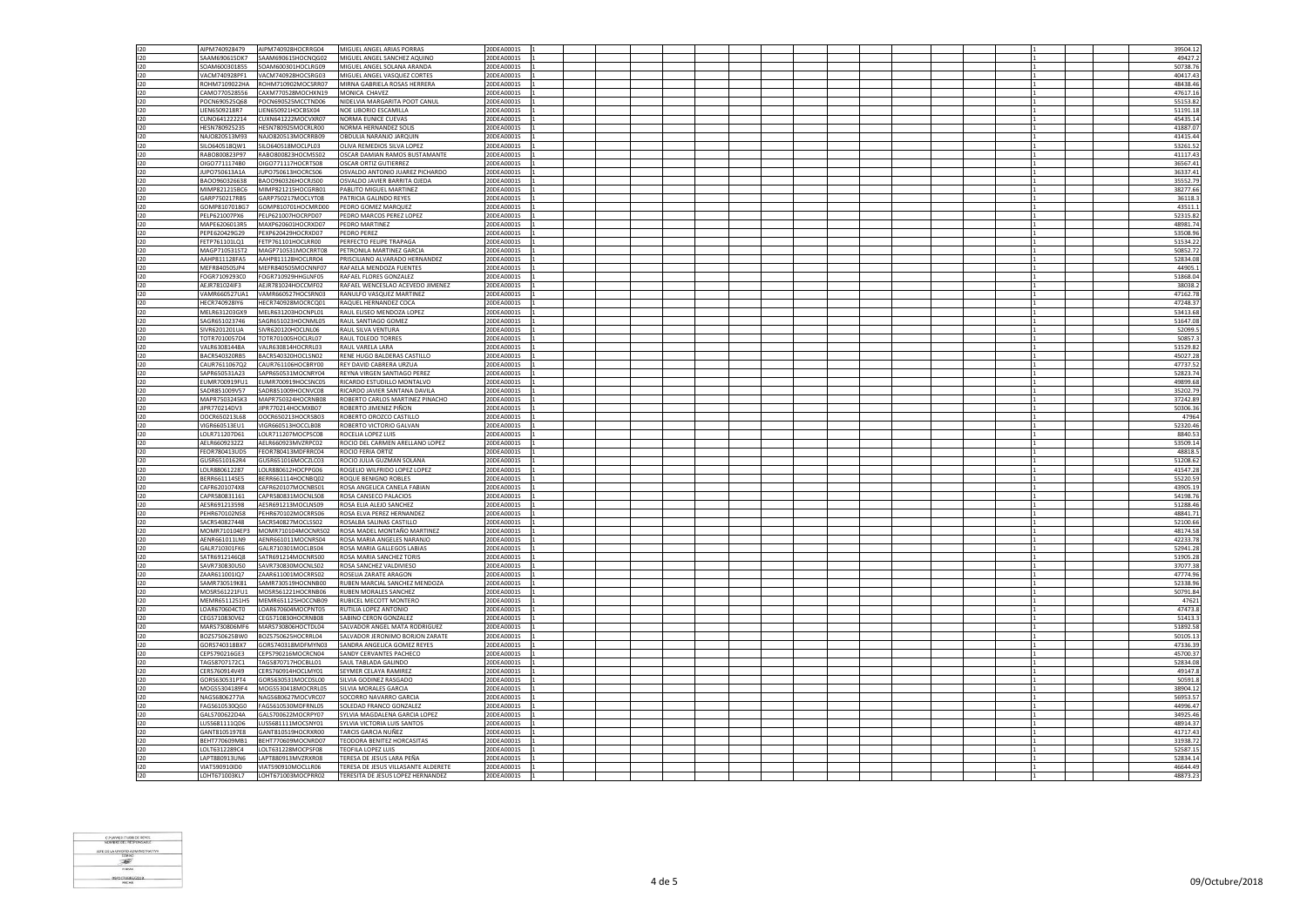|            | AIPM740928479                  | AIPM740928HOCRRG04                       | MIGUEL ANGEL ARIAS PORRAS                                | 20DEA0001S               |  |  |  |  |  | 39504.12             |
|------------|--------------------------------|------------------------------------------|----------------------------------------------------------|--------------------------|--|--|--|--|--|----------------------|
| 120<br>120 | SAAM690615DK7                  | SAAM690615HOCNQG02                       | MIGUEL ANGEL SANCHEZ AQUINO                              | 20DEA0001S               |  |  |  |  |  | 49427.2              |
| 120        | SOAM600301855                  | SOAM600301HOCLRG09                       | MIGUEL ANGEL SOLANA ARANDA                               | 20DEA0001S               |  |  |  |  |  | 50738.76             |
| 120        | VACM740928PF1                  | VACM740928HOCSRG03                       | MIGUEL ANGEL VASQUEZ CORTES                              | 20DEA0001S               |  |  |  |  |  | 40417.4              |
| 120        | ROHM7109022HA                  | ROHM710902MOCSRR07                       | MIRNA GABRIELA ROSAS HERRERA                             | 20DEA0001S               |  |  |  |  |  | 48438.4              |
| 120        | CAMO770528556                  | CAXM770528MOCHXN19                       | MONICA CHAVEZ                                            | 20DEA0001S               |  |  |  |  |  | 47617.16             |
| $120 -$    | POCN690525068                  | POCN690525MCCTND06                       | NIDELVIA MARGARITA POOT CANUL                            | 20DEA0001S               |  |  |  |  |  | 55153.82             |
| 120        | LIEN6509218R7                  | LIEN650921HOCBSX04                       | NOE LIBORIO ESCAMILLA                                    | 20DEA0001S               |  |  |  |  |  | 51191.1              |
| 120        | CUNO641222214                  | CUXN641222MOCVXR07                       | NORMA FUNICE CUFVAS                                      | 20DEA0001S               |  |  |  |  |  | 45435.14             |
|            | HESN780925235                  | HESN780925MOCRLR00                       | NORMA HERNANDEZ SOLIS                                    | 20DEA0001S               |  |  |  |  |  | 41887.07             |
| 120<br>120 |                                |                                          | OBDULIA NARANIO IAROUIN                                  |                          |  |  |  |  |  | 41415.44             |
|            | NAJO820513M93                  | NAJ0820513MOCRRB09                       |                                                          | 20DEA0001S               |  |  |  |  |  |                      |
| 120        | SILO640518QW1                  | SILO640518MOCLPL03                       | OLIVA REMEDIOS SILVA LOPEZ                               | 20DEA0001S               |  |  |  |  |  | 53261.52             |
| 120        | RABO800823P97                  | RABO800823HOCMSS02                       | OSCAR DAMIAN RAMOS BUSTAMANTE                            | 20DEA0001S               |  |  |  |  |  | 41117.4              |
| 120        | OIGO7711174B0                  | OIGO771117HOCRTS08                       | <b>OSCAR ORTIZ GUTIERREZ</b>                             | 20DEA0001S               |  |  |  |  |  | 36567.4              |
| 120        | JUPO750613A1A                  | JUPO750613HOCRCS06                       | OSVALDO ANTONIO JUAREZ PICHARDO                          | 20DEA0001S               |  |  |  |  |  | 36337.41             |
| 120        | BAO0960326638                  | BAOO960326HOCRJS00                       | OSVALDO JAVIER BARRITA OJEDA                             | 20DEA0001S               |  |  |  |  |  | 35552.79             |
| 120        | MIMP821215BC6                  | MIMP821215HOCGRB01                       | PABLITO MIGUEL MARTINEZ                                  | 20DEA0001S               |  |  |  |  |  | 38277.66             |
| 120        | GARP750217RB5                  | GARP750217MOCLYT08                       | PATRICIA GALINDO REYES                                   | 20DEA0001S               |  |  |  |  |  | 36118.               |
| 120        | GOMP8107018G7                  | GOMP810701HOCMRD00                       | PEDRO GOMEZ MARQUEZ                                      | 20DEA0001S               |  |  |  |  |  | 43511.1              |
| 120        | PELP621007PX6                  | PELP621007HOCRPD07                       | PEDRO MARCOS PEREZ LOPEZ                                 | 20DEA0001S               |  |  |  |  |  | 52315.82             |
| 120        | MAPE6206013R5                  | MAXP620601HOCRXD07                       | PEDRO MARTINEZ                                           | 20DEA0001S               |  |  |  |  |  | 48981.74             |
| 120        | PEPE620429G29                  | PEXP620429HOCRXD07                       | PEDRO PEREZ                                              | 20DEA0001S               |  |  |  |  |  | 53508.9              |
| 120        | FETP761101LO1                  | FETP761101HOCLRR00                       | PERFECTO FELIPE TRAPAGA                                  | 20DEA0001S               |  |  |  |  |  | 51534.22             |
| 120        | MAGP710531ST2                  | MAGP710531MOCRRT08                       | PETRONILA MARTINEZ GARCIA                                | 20DEA0001S               |  |  |  |  |  | 50852.72             |
| 120        | AAHP811128FA5                  | AAHP811128HOCLRR04                       | PRISCILIANO ALVARADO HERNANDEZ                           | 20DEA0001S               |  |  |  |  |  | 52834.08             |
| 120        | MEFR840505JP4                  | MEFR840505MOCNNF07                       | RAFAELA MENDOZA FUENTES                                  | 20DEA0001S               |  |  |  |  |  | 44905.               |
| $120 -$    | FOGR7109293C0                  | FOGR710929HHGLNE05                       | <b>RAFAEL FLORES GONZALEZ</b>                            | 20DEA0001S               |  |  |  |  |  | 51868.04             |
| 120        | AEJR781024IF3                  | AEJR781024HOCCMF02                       | RAFAEL WENCESLAO ACEVEDO JIMENEZ                         | 20DEA0001S               |  |  |  |  |  | 38038.2              |
| 120        |                                | VAMR660527UA1 VAMR660527HOCSRN03         | RANULFO VASOUEZ MARTINEZ                                 | 20DEA0001S               |  |  |  |  |  | 47162.78             |
| 120        | HECR740928IY6                  | HECR740928MOCRCQ01                       | RAQUEL HERNANDEZ COCA                                    | 20DEA0001S               |  |  |  |  |  | 47248.37             |
| 120        | MELR631203GX9                  | MELR631203HOCNPL01                       | RAUL ELISEO MENDOZA LOPEZ                                | 20DEA0001S               |  |  |  |  |  | 53413.68             |
| 120        | SAGR651023746                  | SAGR651023HOCNML05                       | RAUL SANTIAGO GOMEZ                                      | 20DEA0001S               |  |  |  |  |  | 51647.08             |
| 120        | SIVR6201201UA                  | SIVR620120HOCLNL06                       | RAUL SILVA VENTURA                                       | 20DEA0001S               |  |  |  |  |  | 52099.5              |
| 120        | TOTR7010057D4                  | TOTR701005HOCLRL07                       | <b>RAUL TOLEDO TORRES</b>                                | 20DEA0001S               |  |  |  |  |  | 50857.               |
| 120        | VALR63081448A                  | VALR630814HOCRRL03                       | RAUL VARELA LARA                                         | 20DEA0001S               |  |  |  |  |  | 51529.82             |
| 120        | BACR540320RB5                  | BACR540320HOCLSN02                       | RENE HUGO BALDERAS CASTILLO                              | 20DEA0001S               |  |  |  |  |  | 45027.28             |
| 120        | CAUR7611067Q2                  | CAUR761106HOCBRY00                       | REY DAVID CABRERA URZUA                                  | 20DEA0001S               |  |  |  |  |  | 47737.52             |
| 120        | SAPR650531A23                  | SAPR650531MOCNRY04                       | REYNA VIRGEN SANTIAGO PEREZ                              | 20DEA0001S               |  |  |  |  |  | 52823.74             |
| 120        | EUMR700919FU1                  | EUMR700919HOCSNC05                       | RICARDO ESTUDILLO MONTALVO                               | 20DEA0001S               |  |  |  |  |  | 49899.68             |
| 120        | SADR851009V57                  | SADR851009HOCNVC08                       | RICARDO JAVIER SANTANA DAVILA                            | 20DEA0001S               |  |  |  |  |  | 35202.7              |
| 120        | MAPR7503245K3                  | MAPR750324HOCRNB08                       | ROBERTO CARLOS MARTINEZ PINACHO                          | 20DEA0001S               |  |  |  |  |  | 37242.89             |
| 120        | JIPR770214DV3                  | JIPR770214HOCMXB07                       | ROBERTO JIMENEZ PIÑON                                    | 20DEA0001S               |  |  |  |  |  | 50306.36             |
| 120        | OOCR650213L68                  | OOCR650213HOCRSB03                       | ROBERTO OROZCO CASTILLO                                  | 20DEA0001S               |  |  |  |  |  | 4796                 |
| 120        | VIGR660513EU1                  | VIGR660513HOCCLB08                       | ROBERTO VICTORIO GALVAN                                  | 20DEA0001S               |  |  |  |  |  | 52320.46             |
| 120        | LOLB711207D61                  | LOLR711207MOCPSC08                       | ROCELIA LOPEZ LUIS                                       | 20DEA0001S               |  |  |  |  |  | 8840.53              |
| 120        | AELR6609232Z2                  | AELR660923MVZRPC02                       | ROCIO DEL CARMEN ARELLANO LOPEZ                          | 20DEA0001S               |  |  |  |  |  | 53509.1              |
| 120        | FFOR780413UD5                  | FFOR780413MDFRRC04                       | ROCIO FERIA ORTIZ                                        | 20DEA0001S               |  |  |  |  |  | 48818.5              |
| 120        | GUSR6510162R4                  | GUSR651016MOCZLC03                       | ROCIO JULIA GUZMAN SOLANA                                | 20DEA0001S               |  |  |  |  |  | 51208.62             |
| 120        | LOLR880612287                  |                                          |                                                          |                          |  |  |  |  |  |                      |
| 120        |                                | LOLR880612HOCPPG06                       | ROGELIO WILFRIDO LOPEZ LOPEZ                             | 20DEA0001S               |  |  |  |  |  | 41547.2              |
|            | BERR661114SE5                  | BERR661114HOCNBQ02                       | ROQUE BENIGNO ROBLES                                     | 20DEA0001S               |  |  |  |  |  | 55220.59             |
| 120        | CAFR6201074X8                  | CAFR620107MOCNBS01                       | ROSA ANGELICA CANELA FABIAN                              | 20DEA0001S               |  |  |  |  |  | 43905.19             |
| 120        | CAPR580831161                  | CAPR580831MOCNLS08                       | ROSA CANSECO PALACIOS                                    | 20DEA0001S               |  |  |  |  |  | 54198.7              |
| 120        | AESR691213598                  | AESR691213MOCLNS09                       | ROSA ELIA ALEJO SANCHEZ                                  | 20DEA0001S               |  |  |  |  |  | 51288.4              |
| 120        | PEHR670102NS8                  |                                          | ROSA ELVA PEREZ HERNANDEZ                                | 20DEA0001S               |  |  |  |  |  | 48841.71             |
| 120        | SACR540827448                  | PEHR670102MOCRRS06<br>SACR540827MOCLSS02 | ROSALBA SALINAS CASTILLO                                 | 20DEA0001S               |  |  |  |  |  | 52100.66             |
| 120        |                                | MOMR710104EP3 MOMR710104MOCNRS02         | ROSA MADEL MONTAÑO MARTINEZ                              | 20DEA0001S               |  |  |  |  |  | 48174.58             |
| 120        | AENR661011LN9                  | AENR661011MOCNRS04                       | ROSA MARIA ANGELES NARANJO                               | 20DEA0001S               |  |  |  |  |  | 42233.78             |
| 120        | GALR710301FK6                  | GALR710301MOCLBS04                       | ROSA MARIA GALLEGOS LABIAS                               | 20DEA0001S               |  |  |  |  |  | 52941.28             |
| 120        | SATR6912146Q8                  | SATR691214MOCNRS00                       | ROSA MARIA SANCHEZ TORIS                                 | 20DEA0001S               |  |  |  |  |  | 51905.28             |
| 120        | SAVR730830US0                  | SAVR730830MOCNLS02                       | ROSA SANCHEZ VALDIVIESO                                  | 20DEA0001S               |  |  |  |  |  | 37077.38             |
| 120        | ZAAR611001IQ7                  | ZAAR611001MOCRRS02                       | ROSELIA ZARATE ARAGON                                    | 20DEA0001S               |  |  |  |  |  | 47774.9              |
| 120        | SAMR730519K81                  | SAMR730519HOCNNB00                       | RUBEN MARCIAL SANCHEZ MENDOZA                            | 20DEA0001S               |  |  |  |  |  | 52338.96             |
| 120        |                                | MOSR561221FU1 MOSR561221HOCRNB06         | <b>RUBEN MORALES SANCHEZ</b>                             | 20DEA0001S               |  |  |  |  |  | 50791.84             |
| 120        |                                | MEMR6511251H5 MEMR651125HOCCNB09         | RUBICEL MECOTT MONTERO                                   | 20DEA0001S               |  |  |  |  |  | 4762                 |
| $120 -$    | LOAR670604CT0                  | LOAR670604MOCPNT05                       | RUTILIA LOPEZ ANTONIO                                    | 20DEA0001S               |  |  |  |  |  | 47473.8              |
| 120        | CEGS710830V62                  | CEGS710830HOCRNB08                       | SABINO CERON GONZALEZ                                    | 20DEA0001S               |  |  |  |  |  | 51413.               |
| 120        |                                | MARS730806MF6 MARS730806HOCTDL04         | SALVADOR ANGEL MATA RODRIGUEZ                            | 20DEA0001S               |  |  |  |  |  | 51892.58             |
| 120        | BOZS750625BW0                  | BOZS750625HOCRRL04                       | SALVADOR JERONIMO BORJON ZARATE                          | 20DEA0001S               |  |  |  |  |  | 50105.13             |
| 120        | GORS740318BX7                  | GORS740318MDFMYN03                       | SANDRA ANGELICA GOMEZ REYES                              | 20DEA0001S               |  |  |  |  |  |                      |
| 120        | CEPS790216GE3                  | CEPS790216MOCRCN04                       | SANDY CERVANTES PACHECO                                  | 20DEA0001S               |  |  |  |  |  | 47336.39<br>45700.3  |
| 120        | TAGS8707172C1                  |                                          | SAUL TABLADA GALINDO                                     | 20DEA0001S               |  |  |  |  |  | 52834.0              |
| 120        | CERS760914V49                  | TAGS870717HOCBLL01                       | SEYMER CELAYA RAMIREZ                                    | 20DEA0001S               |  |  |  |  |  | 49147.               |
|            | GORS630531PT4                  | CERS760914HOCLMY01                       | SILVIA GODINEZ RASGADO                                   | 20DEA0001S               |  |  |  |  |  |                      |
| 120<br>120 | MOGS5304189F4                  | GORS630531MOCDSL00<br>MOGS530418MOCRRL05 | SILVIA MORALES GARCIA                                    | 20DEA0001S               |  |  |  |  |  | 50591.8<br>38904.1   |
|            | NAGS6806277IA                  |                                          |                                                          |                          |  |  |  |  |  |                      |
| 120        |                                | NAGS680627MOCVRC07                       | SOCORRO NAVARRO GARCIA                                   | 20DEA0001S               |  |  |  |  |  | 56953.57             |
| 120<br>120 | FAGS610530QG0<br>GALS700622D4A | FAGS610530MDFRNL05                       | SOLEDAD FRANCO GONZALEZ<br>SYLVIA MAGDALENA GARCIA LOPEZ | 20DEA0001S<br>20DEA0001S |  |  |  |  |  | 44996.47<br>34925.46 |
|            |                                | GALS700622MOCRPY07                       |                                                          |                          |  |  |  |  |  |                      |
| 120<br>120 | LUSS681111QD6<br>GANT8105197E8 | LUSS681111MOCSNY01<br>GANT810519HOCRXR00 | SYLVIA VICTORIA LUIS SANTOS<br>TARCIS GARCIA NUÑEZ       | 20DEA0001S<br>20DEA0001S |  |  |  |  |  | 48914.37<br>41717.43 |
| 120        | BEHT770609MB1                  | BEHT770609MOCNRD07                       | TEODORA BENITEZ HORCASITAS                               | 20DEA0001S               |  |  |  |  |  | 31938.7              |
| 120        | LOLT6312289C4                  | LOLT631228MOCPSF08                       | <b>TEOFILA LOPEZ LUIS</b>                                | 20DEA0001S               |  |  |  |  |  | 52587.1              |
| 120        |                                | LAPT880913MVZRXR08                       | TERESA DE JESUS LARA PEÑA                                | 20DEA0001S               |  |  |  |  |  | 52834.14             |
| 120        | LAPT880913UN6<br>VIAT590910ID0 | VIAT590910MOCLIR06                       | TERESA DE JESUS VILLASANTE ALDERETE                      | 20DEA0001S               |  |  |  |  |  | 46644.49             |